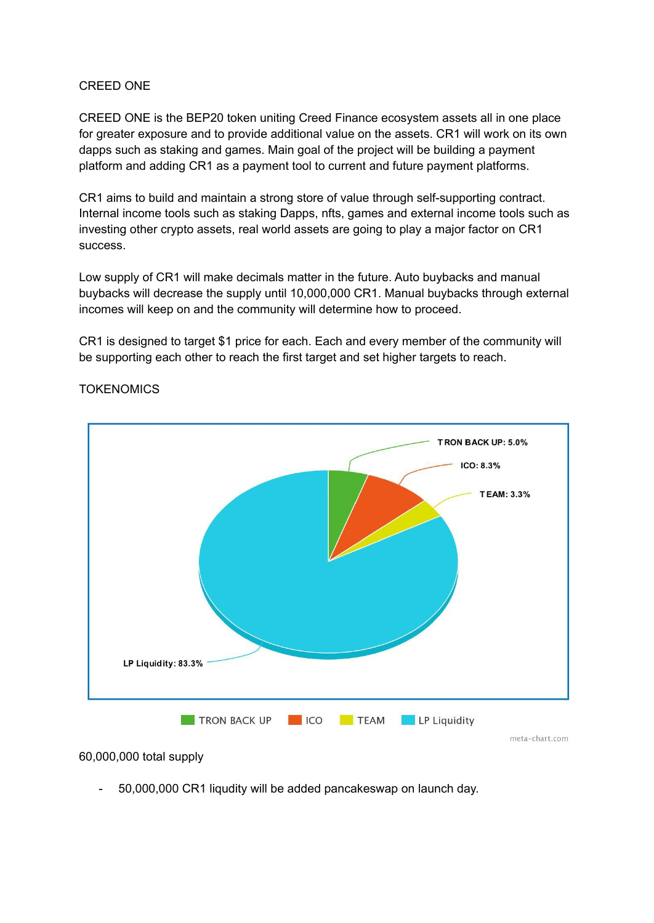#### CREED ONE

CREED ONE is the BEP20 token uniting Creed Finance ecosystem assets all in one place for greater exposure and to provide additional value on the assets. CR1 will work on its own dapps such as staking and games. Main goal of the project will be building a payment platform and adding CR1 as a payment tool to current and future payment platforms.

CR1 aims to build and maintain a strong store of value through self-supporting contract. Internal income tools such as staking Dapps, nfts, games and external income tools such as investing other crypto assets, real world assets are going to play a major factor on CR1 success.

Low supply of CR1 will make decimals matter in the future. Auto buybacks and manual buybacks will decrease the supply until 10,000,000 CR1. Manual buybacks through external incomes will keep on and the community will determine how to proceed.

CR1 is designed to target \$1 price for each. Each and every member of the community will be supporting each other to reach the first target and set higher targets to reach.



# **TOKENOMICS**

60,000,000 total supply

- 50,000,000 CR1 liqudity will be added pancakeswap on launch day.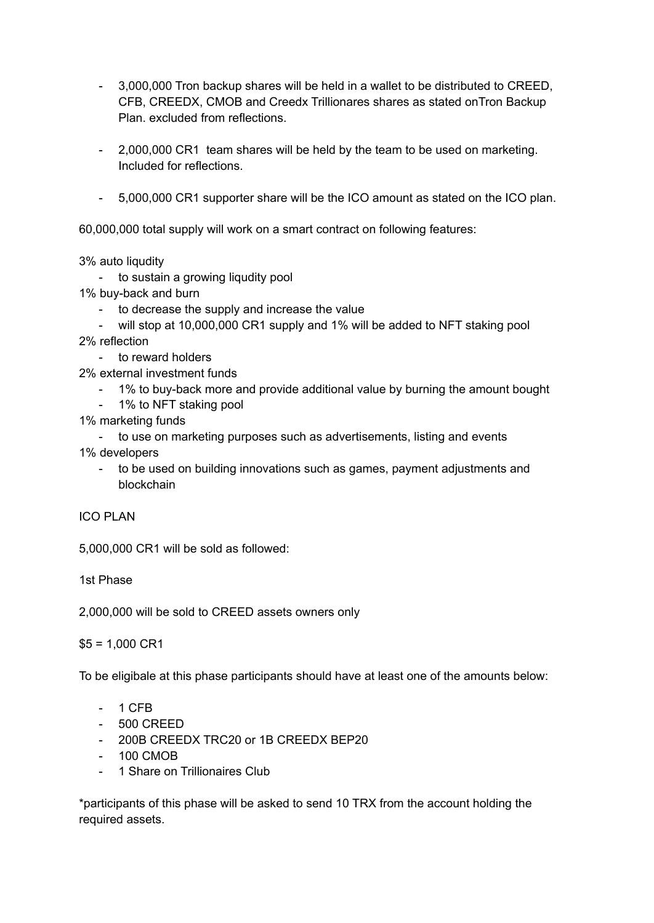- 3,000,000 Tron backup shares will be held in a wallet to be distributed to CREED, CFB, CREEDX, CMOB and Creedx Trillionares shares as stated onTron Backup Plan. excluded from reflections.
- 2,000,000 CR1 team shares will be held by the team to be used on marketing. Included for reflections.
- 5,000,000 CR1 supporter share will be the ICO amount as stated on the ICO plan.

60,000,000 total supply will work on a smart contract on following features:

3% auto liqudity

- to sustain a growing liqudity pool
- 1% buy-back and burn
	- to decrease the supply and increase the value
- will stop at 10,000,000 CR1 supply and 1% will be added to NFT staking pool 2% reflection
	- to reward holders
- 2% external investment funds
	- 1% to buy-back more and provide additional value by burning the amount bought
	- 1% to NFT staking pool
- 1% marketing funds
- to use on marketing purposes such as advertisements, listing and events 1% developers
	- to be used on building innovations such as games, payment adjustments and blockchain

ICO PLAN

5,000,000 CR1 will be sold as followed:

1st Phase

2,000,000 will be sold to CREED assets owners only

 $$5 = 1,000 \text{ CR1}$ 

To be eligibale at this phase participants should have at least one of the amounts below:

- 1 CFB
- 500 CREED
- 200B CREEDX TRC20 or 1B CREEDX BEP20
- 100 CMOB
- 1 Share on Trillionaires Club

\*participants of this phase will be asked to send 10 TRX from the account holding the required assets.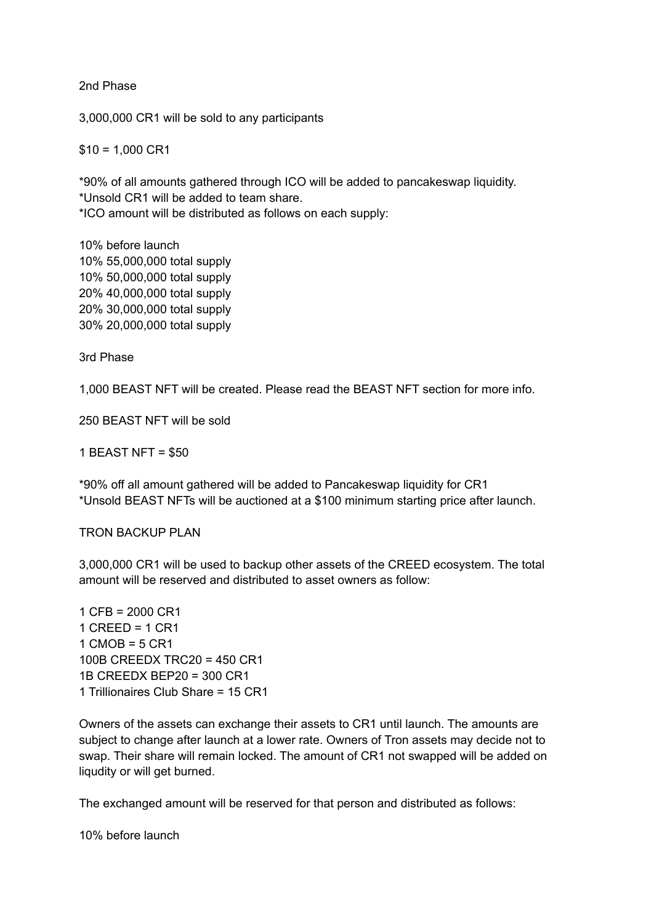2nd Phase

3,000,000 CR1 will be sold to any participants

 $$10 = 1,000 \text{ CR1}$ 

\*90% of all amounts gathered through ICO will be added to pancakeswap liquidity. \*Unsold CR1 will be added to team share. \*ICO amount will be distributed as follows on each supply:

10% before launch 10% 55,000,000 total supply 10% 50,000,000 total supply 20% 40,000,000 total supply 20% 30,000,000 total supply 30% 20,000,000 total supply

3rd Phase

1,000 BEAST NFT will be created. Please read the BEAST NFT section for more info.

250 BEAST NFT will be sold

1 BEAST NFT = \$50

\*90% off all amount gathered will be added to Pancakeswap liquidity for CR1 \*Unsold BEAST NFTs will be auctioned at a \$100 minimum starting price after launch.

TRON BACKUP PLAN

3,000,000 CR1 will be used to backup other assets of the CREED ecosystem. The total amount will be reserved and distributed to asset owners as follow:

1 CFB = 2000 CR1  $1$  CREED =  $1$  CR1  $1 \text{ CMOB} = 5 \text{ CR1}$ 100B CREEDX TRC20 = 450 CR1 1B CREEDX BEP20 = 300 CR1 1 Trillionaires Club Share = 15 CR1

Owners of the assets can exchange their assets to CR1 until launch. The amounts are subject to change after launch at a lower rate. Owners of Tron assets may decide not to swap. Their share will remain locked. The amount of CR1 not swapped will be added on liqudity or will get burned.

The exchanged amount will be reserved for that person and distributed as follows:

10% before launch